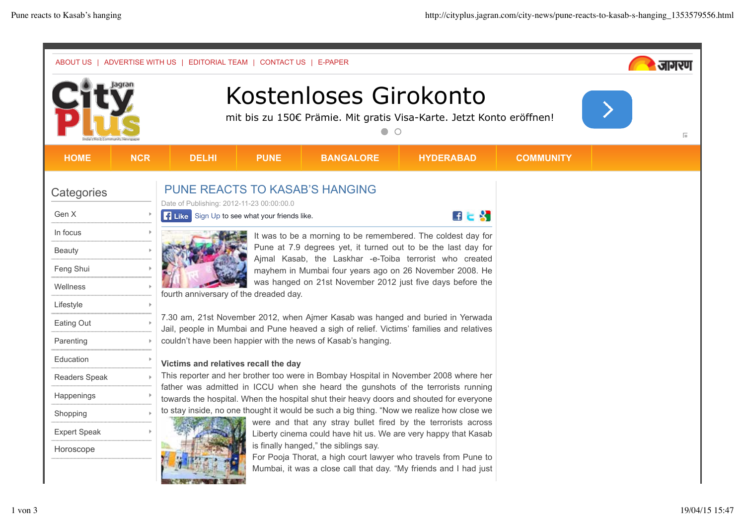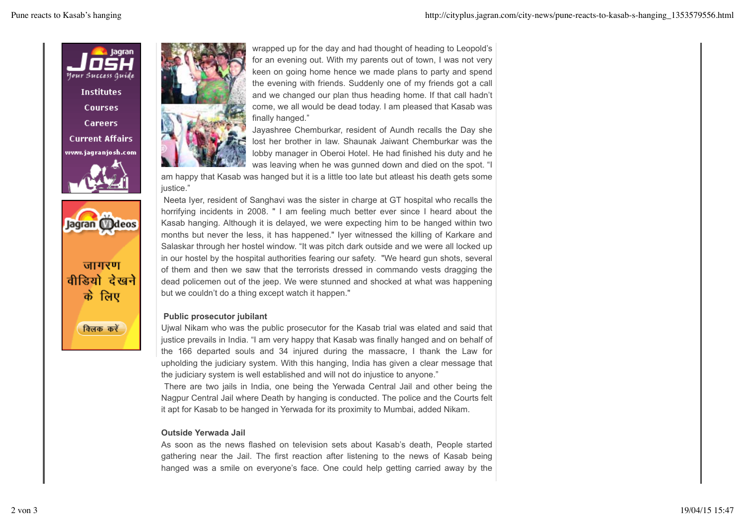

Jagran Mdeos

जागरण वीडियो देखने के लिए

विलक करें



wrapped up for the day and had thought of heading to Leopold's for an evening out. With my parents out of town, I was not very keen on going home hence we made plans to party and spend the evening with friends. Suddenly one of my friends got a call and we changed our plan thus heading home. If that call hadn't come, we all would be dead today. I am pleased that Kasab was finally hanged."

Jayashree Chemburkar, resident of Aundh recalls the Day she lost her brother in law. Shaunak Jaiwant Chemburkar was the lobby manager in Oberoi Hotel. He had finished his duty and he was leaving when he was gunned down and died on the spot. "I

am happy that Kasab was hanged but it is a little too late but atleast his death gets some justice."

 Neeta Iyer, resident of Sanghavi was the sister in charge at GT hospital who recalls the horrifying incidents in 2008. " I am feeling much better ever since I heard about the Kasab hanging. Although it is delayed, we were expecting him to be hanged within two months but never the less, it has happened." Iyer witnessed the killing of Karkare and Salaskar through her hostel window. "It was pitch dark outside and we were all locked up in our hostel by the hospital authorities fearing our safety. "We heard gun shots, several of them and then we saw that the terrorists dressed in commando vests dragging the dead policemen out of the jeep. We were stunned and shocked at what was happening but we couldn't do a thing except watch it happen."

## **Public prosecutor jubilant**

Ujwal Nikam who was the public prosecutor for the Kasab trial was elated and said that justice prevails in India. "I am very happy that Kasab was finally hanged and on behalf of the 166 departed souls and 34 injured during the massacre, I thank the Law for upholding the judiciary system. With this hanging, India has given a clear message that the judiciary system is well established and will not do injustice to anyone."

 There are two jails in India, one being the Yerwada Central Jail and other being the Nagpur Central Jail where Death by hanging is conducted. The police and the Courts felt it apt for Kasab to be hanged in Yerwada for its proximity to Mumbai, added Nikam.

## **Outside Yerwada Jail**

As soon as the news flashed on television sets about Kasab's death, People started gathering near the Jail. The first reaction after listening to the news of Kasab being hanged was a smile on everyone's face. One could help getting carried away by the